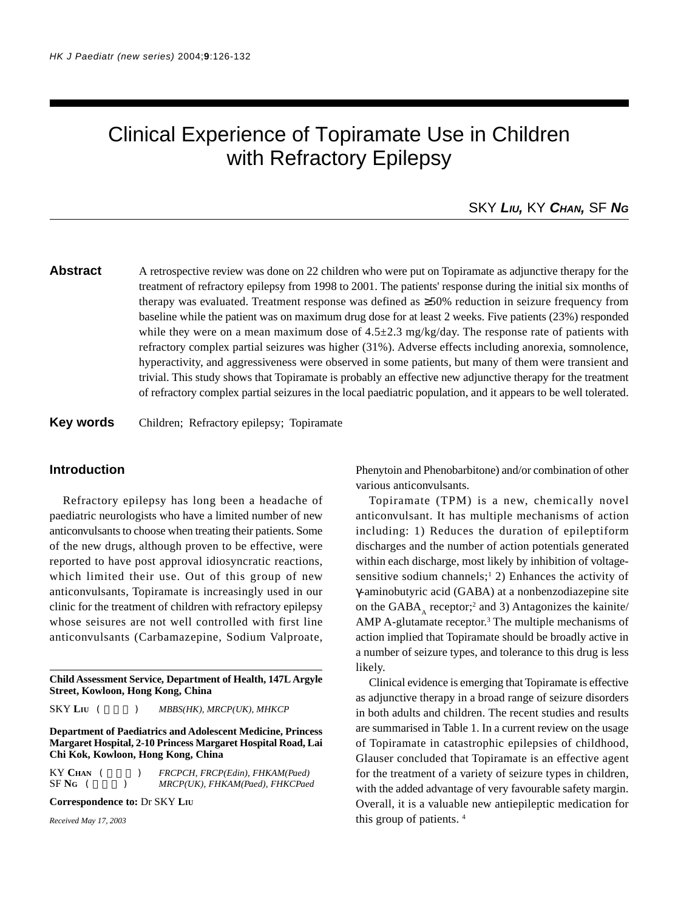# Clinical Experience of Topiramate Use in Children with Refractory Epilepsy

## SKY *LIU,* KY *CHAN,* SF *NG*

**Abstract** A retrospective review was done on 22 children who were put on Topiramate as adjunctive therapy for the treatment of refractory epilepsy from 1998 to 2001. The patients' response during the initial six months of therapy was evaluated. Treatment response was defined as ≥50% reduction in seizure frequency from baseline while the patient was on maximum drug dose for at least 2 weeks. Five patients (23%) responded while they were on a mean maximum dose of  $4.5\pm2.3$  mg/kg/day. The response rate of patients with refractory complex partial seizures was higher (31%). Adverse effects including anorexia, somnolence, hyperactivity, and aggressiveness were observed in some patients, but many of them were transient and trivial. This study shows that Topiramate is probably an effective new adjunctive therapy for the treatment of refractory complex partial seizures in the local paediatric population, and it appears to be well tolerated.

#### **Key words** Children; Refractory epilepsy; Topiramate

#### **Introduction**

Refractory epilepsy has long been a headache of paediatric neurologists who have a limited number of new anticonvulsants to choose when treating their patients. Some of the new drugs, although proven to be effective, were reported to have post approval idiosyncratic reactions, which limited their use. Out of this group of new anticonvulsants, Topiramate is increasingly used in our clinic for the treatment of children with refractory epilepsy whose seisures are not well controlled with first line anticonvulsants (Carbamazepine, Sodium Valproate,

**Child Assessment Service, Department of Health, 147L Argyle Street, Kowloon, Hong Kong, China**

SKY LIU (  $MBBS(HK)$ , MRCP(UK), MHKCP

**Department of Paediatrics and Adolescent Medicine, Princess Margaret Hospital, 2-10 Princess Margaret Hospital Road, Lai Chi Kok, Kowloon, Hong Kong, China**

KY CHAN (  $FRCPCH, FRCP (Edin), FHKAM (Paed)$ SF NG (  $MRCP(UK)$ , FHKAM(Paed), FHKCPaed

**Correspondence to:** Dr SKY **LIU**

*Received May 17, 2003*

Phenytoin and Phenobarbitone) and/or combination of other various anticonvulsants.

Topiramate (TPM) is a new, chemically novel anticonvulsant. It has multiple mechanisms of action including: 1) Reduces the duration of epileptiform discharges and the number of action potentials generated within each discharge, most likely by inhibition of voltagesensitive sodium channels;<sup>1</sup> 2) Enhances the activity of γ-aminobutyric acid (GABA) at a nonbenzodiazepine site on the  $GABA_A$  receptor;<sup>2</sup> and 3) Antagonizes the kainite/ AMP A-glutamate receptor. $3$  The multiple mechanisms of action implied that Topiramate should be broadly active in a number of seizure types, and tolerance to this drug is less likely.

Clinical evidence is emerging that Topiramate is effective as adjunctive therapy in a broad range of seizure disorders in both adults and children. The recent studies and results are summarised in Table 1. In a current review on the usage of Topiramate in catastrophic epilepsies of childhood, Glauser concluded that Topiramate is an effective agent for the treatment of a variety of seizure types in children, with the added advantage of very favourable safety margin. Overall, it is a valuable new antiepileptic medication for this group of patients. 4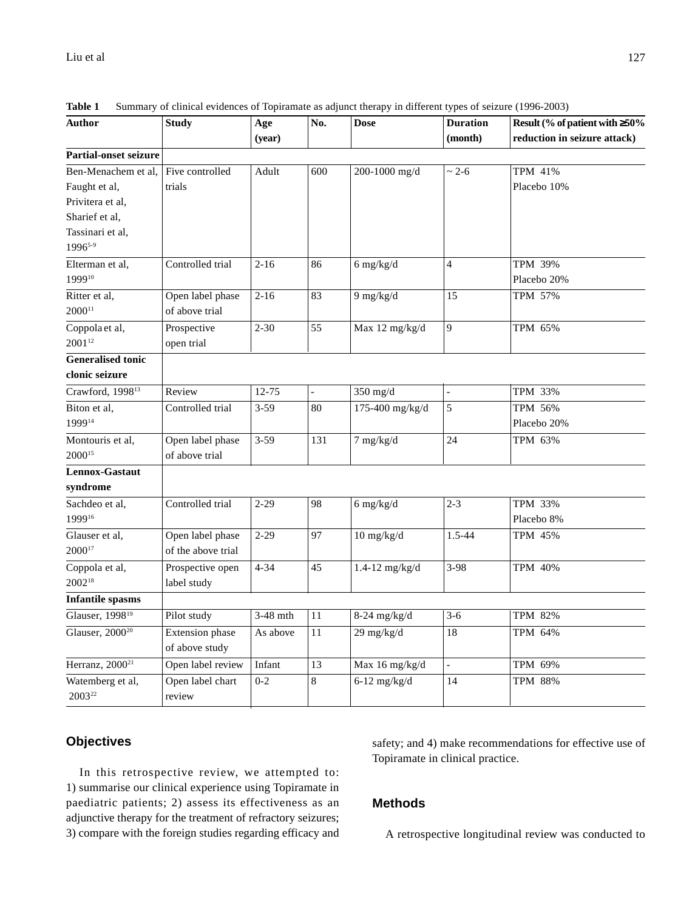| Author                       | <b>Study</b>       | Age        | No. | <b>Dose</b>          | <b>Duration</b> | Result (% of patient with $\geq 50\%$<br>reduction in seizure attack) |
|------------------------------|--------------------|------------|-----|----------------------|-----------------|-----------------------------------------------------------------------|
|                              |                    | (year)     |     |                      | (month)         |                                                                       |
| <b>Partial-onset seizure</b> |                    |            |     |                      |                 |                                                                       |
| Ben-Menachem et al,          | Five controlled    | Adult      | 600 | 200-1000 mg/d        | $~2 - 6$        | <b>TPM 41%</b>                                                        |
| Faught et al,                | trials             |            |     |                      |                 | Placebo 10%                                                           |
| Privitera et al,             |                    |            |     |                      |                 |                                                                       |
| Sharief et al,               |                    |            |     |                      |                 |                                                                       |
| Tassinari et al.             |                    |            |     |                      |                 |                                                                       |
| 19965-9                      |                    |            |     |                      |                 |                                                                       |
| Elterman et al.              | Controlled trial   | $2 - 16$   | 86  | $6$ mg/kg/d          | $\overline{4}$  | TPM 39%                                                               |
| 199910                       |                    |            |     |                      |                 | Placebo 20%                                                           |
| Ritter et al,                | Open label phase   | $2 - 16$   | 83  | $9$ mg/kg/d          | 15              | TPM 57%                                                               |
| $2000^{11}$                  | of above trial     |            |     |                      |                 |                                                                       |
| Coppola et al,               | Prospective        | $2 - 30$   | 55  | Max 12 mg/kg/d       | 9               | TPM 65%                                                               |
| 200112                       | open trial         |            |     |                      |                 |                                                                       |
| <b>Generalised tonic</b>     |                    |            |     |                      |                 |                                                                       |
| clonic seizure               |                    |            |     |                      |                 |                                                                       |
| Crawford, 1998 <sup>13</sup> | Review             | $12 - 75$  |     | $350$ mg/d           |                 | TPM 33%                                                               |
| Biton et al,                 | Controlled trial   | $3 - 59$   | 80  | 175-400 mg/kg/d      | 5               | TPM 56%                                                               |
| 199914                       |                    |            |     |                      |                 | Placebo 20%                                                           |
| Montouris et al,             | Open label phase   | $3 - 59$   | 131 | $7$ mg/kg/d          | 24              | TPM 63%                                                               |
| $2000^{15}$                  | of above trial     |            |     |                      |                 |                                                                       |
| Lennox-Gastaut               |                    |            |     |                      |                 |                                                                       |
| syndrome                     |                    |            |     |                      |                 |                                                                       |
| Sachdeo et al,               | Controlled trial   | $2 - 29$   | 98  | $6$ mg/kg/d          | $2 - 3$         | TPM 33%                                                               |
| 199916                       |                    |            |     |                      |                 | Placebo 8%                                                            |
| Glauser et al,               | Open label phase   | $2 - 29$   | 97  | $10$ mg/kg/d         | 1.5-44          | <b>TPM 45%</b>                                                        |
| $2000^{17}$                  | of the above trial |            |     |                      |                 |                                                                       |
| Coppola et al,               | Prospective open   | $4 - 34$   | 45  | 1.4-12 $mg/kg/d$     | $3 - 98$        | TPM 40%                                                               |
| 2002 <sup>18</sup>           | label study        |            |     |                      |                 |                                                                       |
| <b>Infantile spasms</b>      |                    |            |     |                      |                 |                                                                       |
| Glauser, 1998 <sup>19</sup>  | Pilot study        | $3-48$ mth | 11  | $8-24$ mg/kg/d       | $3-6$           | TPM 82%                                                               |
| Glauser, 2000 <sup>20</sup>  | Extension phase    | As above   | 11  | $29 \text{ mg/kg/d}$ | 18              | TPM 64%                                                               |
|                              | of above study     |            |     |                      |                 |                                                                       |
| Herranz, 2000 <sup>21</sup>  | Open label review  | Infant     | 13  | Max 16 mg/kg/d       | $\overline{a}$  | TPM 69%                                                               |
| Watemberg et al,             | Open label chart   | $0 - 2$    | 8   | $6-12$ mg/kg/d       | 14              | <b>TPM 88%</b>                                                        |
| 2003 <sup>22</sup>           | review             |            |     |                      |                 |                                                                       |
|                              |                    |            |     |                      |                 |                                                                       |

**Table 1** Summary of clinical evidences of Topiramate as adjunct therapy in different types of seizure (1996-2003)

## **Objectives**

In this retrospective review, we attempted to: 1) summarise our clinical experience using Topiramate in paediatric patients; 2) assess its effectiveness as an adjunctive therapy for the treatment of refractory seizures; 3) compare with the foreign studies regarding efficacy and

safety; and 4) make recommendations for effective use of Topiramate in clinical practice.

## **Methods**

A retrospective longitudinal review was conducted to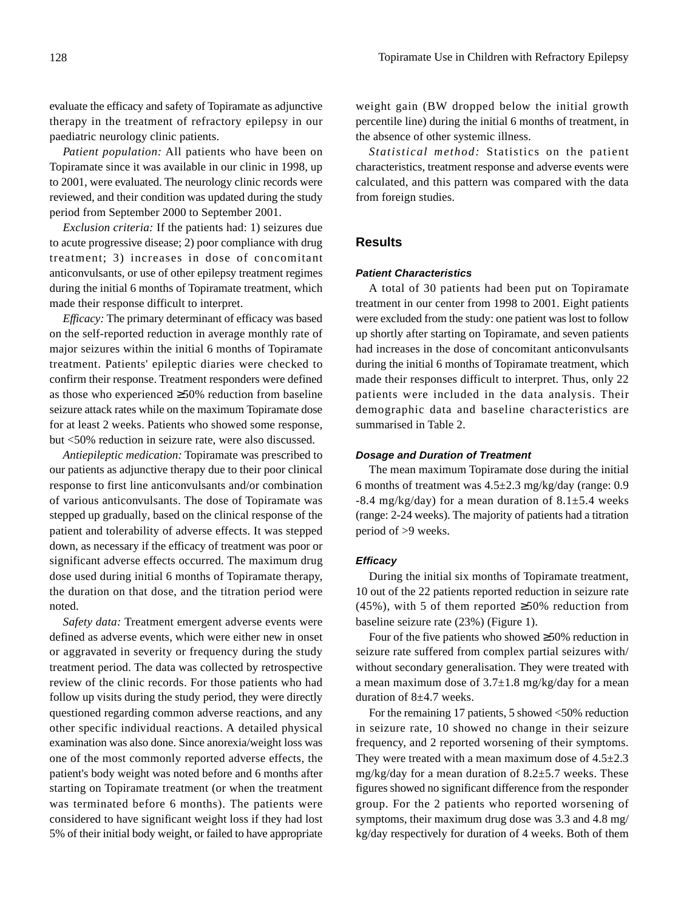evaluate the efficacy and safety of Topiramate as adjunctive therapy in the treatment of refractory epilepsy in our paediatric neurology clinic patients.

*Patient population:* All patients who have been on Topiramate since it was available in our clinic in 1998, up to 2001, were evaluated. The neurology clinic records were reviewed, and their condition was updated during the study period from September 2000 to September 2001.

*Exclusion criteria:* If the patients had: 1) seizures due to acute progressive disease; 2) poor compliance with drug treatment; 3) increases in dose of concomitant anticonvulsants, or use of other epilepsy treatment regimes during the initial 6 months of Topiramate treatment, which made their response difficult to interpret.

*Efficacy:* The primary determinant of efficacy was based on the self-reported reduction in average monthly rate of major seizures within the initial 6 months of Topiramate treatment. Patients' epileptic diaries were checked to confirm their response. Treatment responders were defined as those who experienced ≥50% reduction from baseline seizure attack rates while on the maximum Topiramate dose for at least 2 weeks. Patients who showed some response, but <50% reduction in seizure rate, were also discussed.

*Antiepileptic medication:* Topiramate was prescribed to our patients as adjunctive therapy due to their poor clinical response to first line anticonvulsants and/or combination of various anticonvulsants. The dose of Topiramate was stepped up gradually, based on the clinical response of the patient and tolerability of adverse effects. It was stepped down, as necessary if the efficacy of treatment was poor or significant adverse effects occurred. The maximum drug dose used during initial 6 months of Topiramate therapy, the duration on that dose, and the titration period were noted.

*Safety data:* Treatment emergent adverse events were defined as adverse events, which were either new in onset or aggravated in severity or frequency during the study treatment period. The data was collected by retrospective review of the clinic records. For those patients who had follow up visits during the study period, they were directly questioned regarding common adverse reactions, and any other specific individual reactions. A detailed physical examination was also done. Since anorexia/weight loss was one of the most commonly reported adverse effects, the patient's body weight was noted before and 6 months after starting on Topiramate treatment (or when the treatment was terminated before 6 months). The patients were considered to have significant weight loss if they had lost 5% of their initial body weight, or failed to have appropriate

weight gain (BW dropped below the initial growth percentile line) during the initial 6 months of treatment, in the absence of other systemic illness.

*Statistical method:* Statistics on the patient characteristics, treatment response and adverse events were calculated, and this pattern was compared with the data from foreign studies.

#### **Results**

#### *Patient Characteristics*

A total of 30 patients had been put on Topiramate treatment in our center from 1998 to 2001. Eight patients were excluded from the study: one patient was lost to follow up shortly after starting on Topiramate, and seven patients had increases in the dose of concomitant anticonvulsants during the initial 6 months of Topiramate treatment, which made their responses difficult to interpret. Thus, only 22 patients were included in the data analysis. Their demographic data and baseline characteristics are summarised in Table 2.

#### *Dosage and Duration of Treatment*

The mean maximum Topiramate dose during the initial 6 months of treatment was 4.5±2.3 mg/kg/day (range: 0.9  $-8.4$  mg/kg/day) for a mean duration of  $8.1 \pm 5.4$  weeks (range: 2-24 weeks). The majority of patients had a titration period of >9 weeks.

#### *Efficacy*

During the initial six months of Topiramate treatment, 10 out of the 22 patients reported reduction in seizure rate (45%), with 5 of them reported  $\geq$ 50% reduction from baseline seizure rate (23%) (Figure 1).

Four of the five patients who showed ≥50% reduction in seizure rate suffered from complex partial seizures with/ without secondary generalisation. They were treated with a mean maximum dose of  $3.7\pm1.8$  mg/kg/day for a mean duration of 8±4.7 weeks.

For the remaining 17 patients, 5 showed  $<50\%$  reduction in seizure rate, 10 showed no change in their seizure frequency, and 2 reported worsening of their symptoms. They were treated with a mean maximum dose of  $4.5\pm2.3$ mg/kg/day for a mean duration of  $8.2\pm5.7$  weeks. These figures showed no significant difference from the responder group. For the 2 patients who reported worsening of symptoms, their maximum drug dose was 3.3 and 4.8 mg/ kg/day respectively for duration of 4 weeks. Both of them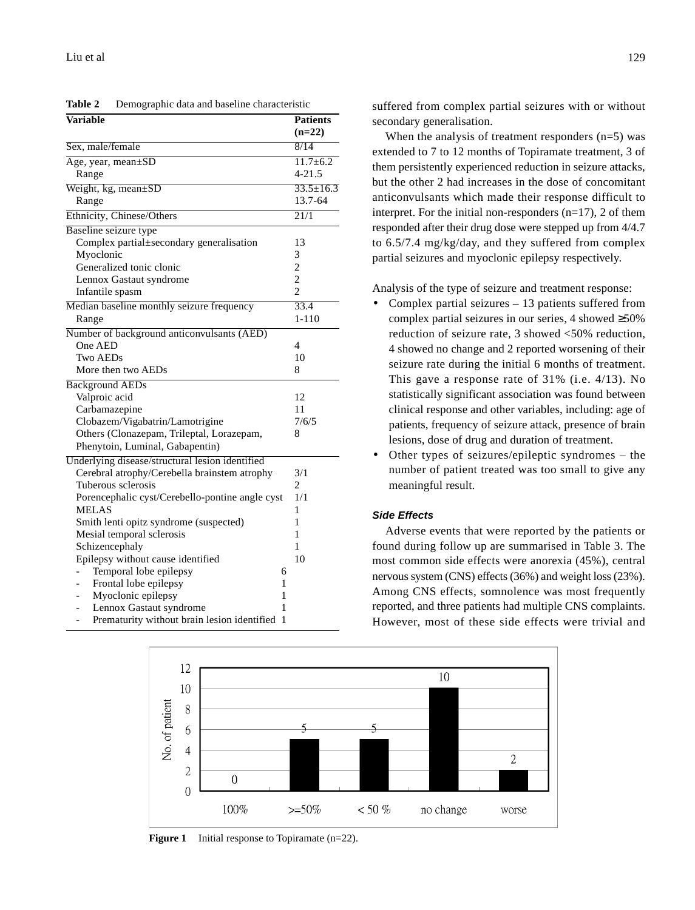| Variable                                         | <b>Patients</b>          |  |
|--------------------------------------------------|--------------------------|--|
|                                                  | $(n=22)$                 |  |
| Sex, male/female                                 | 8/14                     |  |
| Age, year, mean±SD                               | $11.7 \pm 6.2$           |  |
| Range                                            | $4 - 21.5$               |  |
| Weight, kg, mean±SD                              | $33.5 \pm 16.3$          |  |
| Range                                            | 13.7-64                  |  |
| Ethnicity, Chinese/Others                        | $\overline{21/1}$        |  |
| Baseline seizure type                            |                          |  |
| Complex partial±secondary generalisation         | 13                       |  |
| Myoclonic                                        | 3                        |  |
| Generalized tonic clonic                         | $\overline{c}$           |  |
| Lennox Gastaut syndrome                          | $\overline{c}$           |  |
| Infantile spasm                                  | $\overline{\mathcal{L}}$ |  |
| Median baseline monthly seizure frequency        | 33.4                     |  |
| Range                                            | $1 - 110$                |  |
| Number of background anticonvulsants (AED)       |                          |  |
| One AED                                          | 4                        |  |
| Two AEDs                                         | 10                       |  |
| More then two AEDs                               | 8                        |  |
| <b>Background AEDs</b>                           |                          |  |
| Valproic acid                                    | 12                       |  |
| Carbamazepine                                    | 11                       |  |
| Clobazem/Vigabatrin/Lamotrigine                  | 7/6/5                    |  |
| Others (Clonazepam, Trileptal, Lorazepam,        | 8                        |  |
| Phenytoin, Luminal, Gabapentin)                  |                          |  |
| Underlying disease/structural lesion identified  |                          |  |
| Cerebral atrophy/Cerebella brainstem atrophy     | 3/1                      |  |
| Tuberous sclerosis                               | 2                        |  |
| Porencephalic cyst/Cerebello-pontine angle cyst  | 1/1                      |  |
| <b>MELAS</b>                                     | 1                        |  |
| Smith lenti opitz syndrome (suspected)           | 1                        |  |
| Mesial temporal sclerosis                        | 1                        |  |
| Schizencephaly                                   | 1                        |  |
| Epilepsy without cause identified                | 10                       |  |
| Temporal lobe epilepsy<br>6                      |                          |  |
| Frontal lobe epilepsy<br>1                       |                          |  |
| Myoclonic epilepsy<br>1                          |                          |  |
| Lennox Gastaut syndrome<br>1                     |                          |  |
| Prematurity without brain lesion identified<br>1 |                          |  |

**Table 2** Demographic data and baseline characteristic

suffered from complex partial seizures with or without secondary generalisation.

When the analysis of treatment responders  $(n=5)$  was extended to 7 to 12 months of Topiramate treatment, 3 of them persistently experienced reduction in seizure attacks, but the other 2 had increases in the dose of concomitant anticonvulsants which made their response difficult to interpret. For the initial non-responders (n=17), 2 of them responded after their drug dose were stepped up from 4/4.7 to 6.5/7.4 mg/kg/day, and they suffered from complex partial seizures and myoclonic epilepsy respectively.

Analysis of the type of seizure and treatment response:

- Complex partial seizures 13 patients suffered from complex partial seizures in our series, 4 showed ≥50% reduction of seizure rate, 3 showed <50% reduction, 4 showed no change and 2 reported worsening of their seizure rate during the initial 6 months of treatment. This gave a response rate of 31% (i.e. 4/13). No statistically significant association was found between clinical response and other variables, including: age of patients, frequency of seizure attack, presence of brain lesions, dose of drug and duration of treatment.
- Other types of seizures/epileptic syndromes the number of patient treated was too small to give any meaningful result.

#### *Side Effects*

Adverse events that were reported by the patients or found during follow up are summarised in Table 3. The most common side effects were anorexia (45%), central nervous system (CNS) effects (36%) and weight loss (23%). Among CNS effects, somnolence was most frequently reported, and three patients had multiple CNS complaints. However, most of these side effects were trivial and



**Figure 1** Initial response to Topiramate (n=22).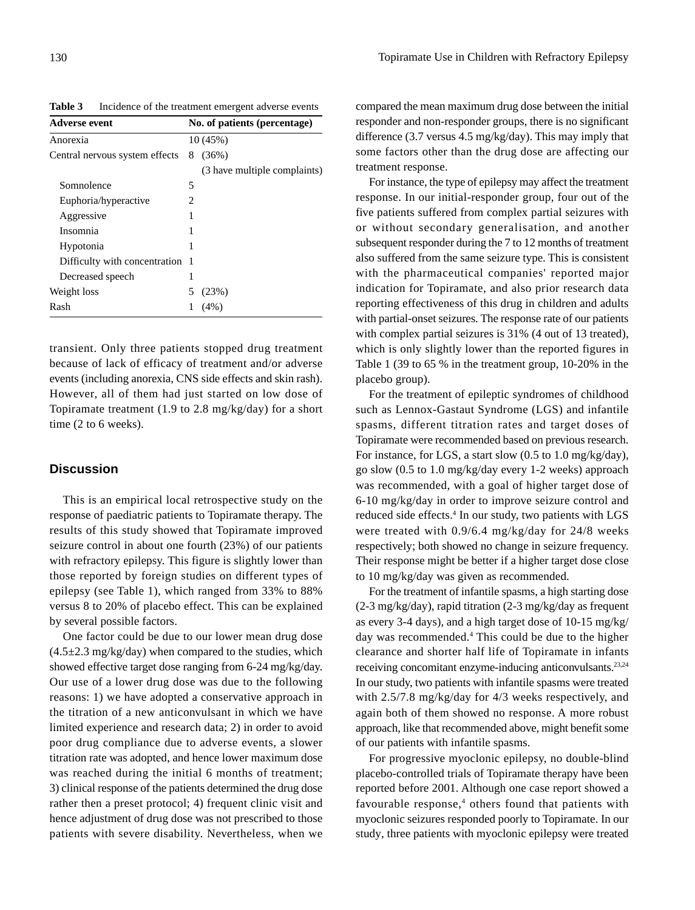**Table 3** Incidence of the treatment emergent adverse events

| <b>Adverse event</b><br>Anorexia |    | No. of patients (percentage)<br>10(45%) |  |  |  |
|----------------------------------|----|-----------------------------------------|--|--|--|
|                                  |    |                                         |  |  |  |
|                                  |    | (3 have multiple complaints)            |  |  |  |
| Somnolence                       | 5  |                                         |  |  |  |
| Euphoria/hyperactive             | 2  |                                         |  |  |  |
| Aggressive                       |    |                                         |  |  |  |
| Insomnia                         |    |                                         |  |  |  |
| Hypotonia                        |    |                                         |  |  |  |
| Difficulty with concentration    | -1 |                                         |  |  |  |
| Decreased speech                 | 1  |                                         |  |  |  |
| Weight loss                      |    | (23%)                                   |  |  |  |
| Rash                             |    | (4%)                                    |  |  |  |

transient. Only three patients stopped drug treatment because of lack of efficacy of treatment and/or adverse events (including anorexia, CNS side effects and skin rash). However, all of them had just started on low dose of Topiramate treatment (1.9 to 2.8 mg/kg/day) for a short time (2 to 6 weeks).

## **Discussion**

This is an empirical local retrospective study on the response of paediatric patients to Topiramate therapy. The results of this study showed that Topiramate improved seizure control in about one fourth (23%) of our patients with refractory epilepsy. This figure is slightly lower than those reported by foreign studies on different types of epilepsy (see Table 1), which ranged from 33% to 88% versus 8 to 20% of placebo effect. This can be explained by several possible factors.

One factor could be due to our lower mean drug dose  $(4.5\pm2.3 \text{ mg/kg/day})$  when compared to the studies, which showed effective target dose ranging from 6-24 mg/kg/day. Our use of a lower drug dose was due to the following reasons: 1) we have adopted a conservative approach in the titration of a new anticonvulsant in which we have limited experience and research data; 2) in order to avoid poor drug compliance due to adverse events, a slower titration rate was adopted, and hence lower maximum dose was reached during the initial 6 months of treatment; 3) clinical response of the patients determined the drug dose rather then a preset protocol; 4) frequent clinic visit and hence adjustment of drug dose was not prescribed to those patients with severe disability. Nevertheless, when we

compared the mean maximum drug dose between the initial responder and non-responder groups, there is no significant difference (3.7 versus 4.5 mg/kg/day). This may imply that some factors other than the drug dose are affecting our treatment response.

For instance, the type of epilepsy may affect the treatment response. In our initial-responder group, four out of the five patients suffered from complex partial seizures with or without secondary generalisation, and another subsequent responder during the 7 to 12 months of treatment also suffered from the same seizure type. This is consistent with the pharmaceutical companies' reported major indication for Topiramate, and also prior research data reporting effectiveness of this drug in children and adults with partial-onset seizures. The response rate of our patients with complex partial seizures is 31% (4 out of 13 treated), which is only slightly lower than the reported figures in Table 1 (39 to 65 % in the treatment group, 10-20% in the placebo group).

For the treatment of epileptic syndromes of childhood such as Lennox-Gastaut Syndrome (LGS) and infantile spasms, different titration rates and target doses of Topiramate were recommended based on previous research. For instance, for LGS, a start slow (0.5 to 1.0 mg/kg/day), go slow (0.5 to 1.0 mg/kg/day every 1-2 weeks) approach was recommended, with a goal of higher target dose of 6-10 mg/kg/day in order to improve seizure control and reduced side effects.<sup>4</sup> In our study, two patients with LGS were treated with 0.9/6.4 mg/kg/day for 24/8 weeks respectively; both showed no change in seizure frequency. Their response might be better if a higher target dose close to 10 mg/kg/day was given as recommended.

For the treatment of infantile spasms, a high starting dose (2-3 mg/kg/day), rapid titration (2-3 mg/kg/day as frequent as every 3-4 days), and a high target dose of 10-15 mg/kg/ day was recommended.<sup>4</sup> This could be due to the higher clearance and shorter half life of Topiramate in infants receiving concomitant enzyme-inducing anticonvulsants.23,24 In our study, two patients with infantile spasms were treated with 2.5/7.8 mg/kg/day for 4/3 weeks respectively, and again both of them showed no response. A more robust approach, like that recommended above, might benefit some of our patients with infantile spasms.

For progressive myoclonic epilepsy, no double-blind placebo-controlled trials of Topiramate therapy have been reported before 2001. Although one case report showed a favourable response,<sup>4</sup> others found that patients with myoclonic seizures responded poorly to Topiramate. In our study, three patients with myoclonic epilepsy were treated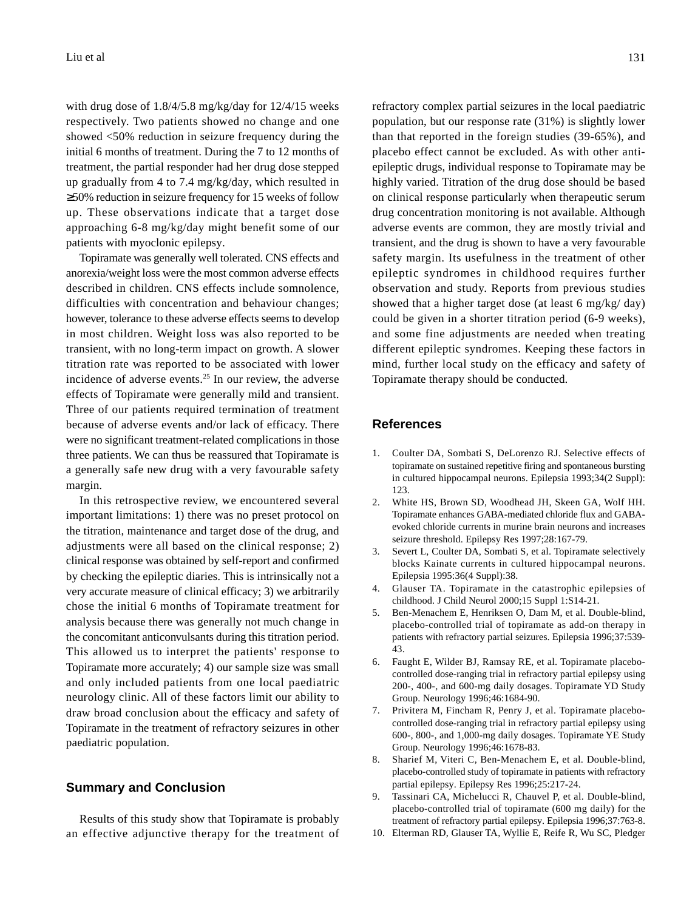with drug dose of 1.8/4/5.8 mg/kg/day for 12/4/15 weeks respectively. Two patients showed no change and one showed <50% reduction in seizure frequency during the initial 6 months of treatment. During the 7 to 12 months of treatment, the partial responder had her drug dose stepped up gradually from 4 to 7.4 mg/kg/day, which resulted in ≥50% reduction in seizure frequency for 15 weeks of follow up. These observations indicate that a target dose approaching 6-8 mg/kg/day might benefit some of our patients with myoclonic epilepsy.

Topiramate was generally well tolerated. CNS effects and anorexia/weight loss were the most common adverse effects described in children. CNS effects include somnolence, difficulties with concentration and behaviour changes; however, tolerance to these adverse effects seems to develop in most children. Weight loss was also reported to be transient, with no long-term impact on growth. A slower titration rate was reported to be associated with lower incidence of adverse events.25 In our review, the adverse effects of Topiramate were generally mild and transient. Three of our patients required termination of treatment because of adverse events and/or lack of efficacy. There were no significant treatment-related complications in those three patients. We can thus be reassured that Topiramate is a generally safe new drug with a very favourable safety margin.

In this retrospective review, we encountered several important limitations: 1) there was no preset protocol on the titration, maintenance and target dose of the drug, and adjustments were all based on the clinical response; 2) clinical response was obtained by self-report and confirmed by checking the epileptic diaries. This is intrinsically not a very accurate measure of clinical efficacy; 3) we arbitrarily chose the initial 6 months of Topiramate treatment for analysis because there was generally not much change in the concomitant anticonvulsants during this titration period. This allowed us to interpret the patients' response to Topiramate more accurately; 4) our sample size was small and only included patients from one local paediatric neurology clinic. All of these factors limit our ability to draw broad conclusion about the efficacy and safety of Topiramate in the treatment of refractory seizures in other paediatric population.

#### **Summary and Conclusion**

Results of this study show that Topiramate is probably an effective adjunctive therapy for the treatment of refractory complex partial seizures in the local paediatric population, but our response rate (31%) is slightly lower than that reported in the foreign studies (39-65%), and placebo effect cannot be excluded. As with other antiepileptic drugs, individual response to Topiramate may be highly varied. Titration of the drug dose should be based on clinical response particularly when therapeutic serum drug concentration monitoring is not available. Although adverse events are common, they are mostly trivial and transient, and the drug is shown to have a very favourable safety margin. Its usefulness in the treatment of other epileptic syndromes in childhood requires further observation and study. Reports from previous studies showed that a higher target dose (at least 6 mg/kg/ day) could be given in a shorter titration period (6-9 weeks), and some fine adjustments are needed when treating different epileptic syndromes. Keeping these factors in mind, further local study on the efficacy and safety of Topiramate therapy should be conducted.

#### **References**

- 1. Coulter DA, Sombati S, DeLorenzo RJ. Selective effects of topiramate on sustained repetitive firing and spontaneous bursting in cultured hippocampal neurons. Epilepsia 1993;34(2 Suppl): 123.
- 2. White HS, Brown SD, Woodhead JH, Skeen GA, Wolf HH. Topiramate enhances GABA-mediated chloride flux and GABAevoked chloride currents in murine brain neurons and increases seizure threshold. Epilepsy Res 1997;28:167-79.
- 3. Severt L, Coulter DA, Sombati S, et al. Topiramate selectively blocks Kainate currents in cultured hippocampal neurons. Epilepsia 1995:36(4 Suppl):38.
- 4. Glauser TA. Topiramate in the catastrophic epilepsies of childhood. J Child Neurol 2000;15 Suppl 1:S14-21.
- 5. Ben-Menachem E, Henriksen O, Dam M, et al. Double-blind, placebo-controlled trial of topiramate as add-on therapy in patients with refractory partial seizures. Epilepsia 1996;37:539- 43.
- 6. Faught E, Wilder BJ, Ramsay RE, et al. Topiramate placebocontrolled dose-ranging trial in refractory partial epilepsy using 200-, 400-, and 600-mg daily dosages. Topiramate YD Study Group. Neurology 1996;46:1684-90.
- 7. Privitera M, Fincham R, Penry J, et al. Topiramate placebocontrolled dose-ranging trial in refractory partial epilepsy using 600-, 800-, and 1,000-mg daily dosages. Topiramate YE Study Group. Neurology 1996;46:1678-83.
- 8. Sharief M, Viteri C, Ben-Menachem E, et al. Double-blind, placebo-controlled study of topiramate in patients with refractory partial epilepsy. Epilepsy Res 1996;25:217-24.
- 9. Tassinari CA, Michelucci R, Chauvel P, et al. Double-blind, placebo-controlled trial of topiramate (600 mg daily) for the treatment of refractory partial epilepsy. Epilepsia 1996;37:763-8.
- 10. Elterman RD, Glauser TA, Wyllie E, Reife R, Wu SC, Pledger